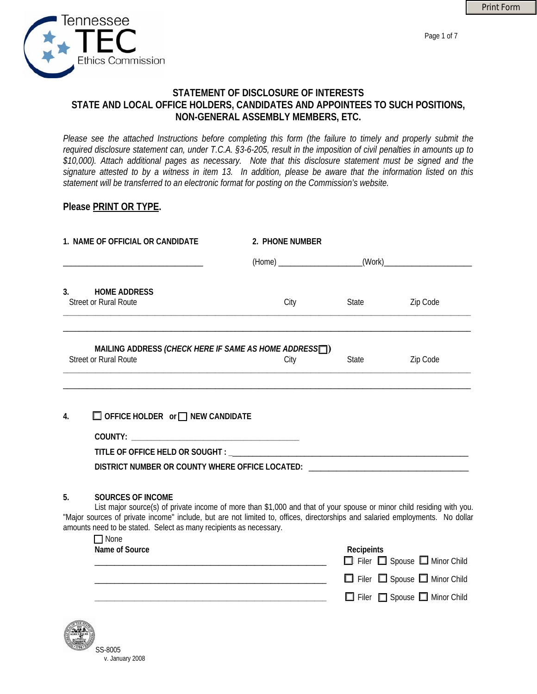

Page 1 of 7



# **STATEMENT OF DISCLOSURE OF INTERESTS STATE AND LOCAL OFFICE HOLDERS, CANDIDATES AND APPOINTEES TO SUCH POSITIONS, NON-GENERAL ASSEMBLY MEMBERS, ETC.**

*Please see the attached Instructions before completing this form (the failure to timely and properly submit the required disclosure statement can, under T.C.A. §3-6-205, result in the imposition of civil penalties in amounts up to \$10,000). Attach additional pages as necessary. Note that this disclosure statement must be signed and the signature attested to by a witness in item 13. In addition, please be aware that the information listed on this statement will be transferred to an electronic format for posting on the Commission's website.* 

## **Please PRINT OR TYPE.**

| 2. PHONE NUMBER                                                    |       |                                                                                                                                                                                                                                                                                                                                                                                                                                          |
|--------------------------------------------------------------------|-------|------------------------------------------------------------------------------------------------------------------------------------------------------------------------------------------------------------------------------------------------------------------------------------------------------------------------------------------------------------------------------------------------------------------------------------------|
|                                                                    |       |                                                                                                                                                                                                                                                                                                                                                                                                                                          |
| City                                                               | State | Zip Code                                                                                                                                                                                                                                                                                                                                                                                                                                 |
|                                                                    |       |                                                                                                                                                                                                                                                                                                                                                                                                                                          |
|                                                                    |       | Zip Code                                                                                                                                                                                                                                                                                                                                                                                                                                 |
|                                                                    |       |                                                                                                                                                                                                                                                                                                                                                                                                                                          |
| $\Box$ OFFICE HOLDER or $\Box$ NEW CANDIDATE                       |       |                                                                                                                                                                                                                                                                                                                                                                                                                                          |
|                                                                    |       |                                                                                                                                                                                                                                                                                                                                                                                                                                          |
|                                                                    |       |                                                                                                                                                                                                                                                                                                                                                                                                                                          |
|                                                                    |       |                                                                                                                                                                                                                                                                                                                                                                                                                                          |
|                                                                    |       |                                                                                                                                                                                                                                                                                                                                                                                                                                          |
|                                                                    |       |                                                                                                                                                                                                                                                                                                                                                                                                                                          |
| amounts need to be stated. Select as many recipients as necessary. |       |                                                                                                                                                                                                                                                                                                                                                                                                                                          |
|                                                                    |       |                                                                                                                                                                                                                                                                                                                                                                                                                                          |
|                                                                    | City  | MAILING ADDRESS (CHECK HERE IF SAME AS HOME ADDRESS )<br><b>State</b><br>DISTRICT NUMBER OR COUNTY WHERE OFFICE LOCATED: ________________________________<br>List major source(s) of private income of more than \$1,000 and that of your spouse or minor child residing with you.<br>"Major sources of private income" include, but are not limited to, offices, directorships and salaried employments. No dollar<br><b>Dacinaints</b> |

| Name of Source | Recipeints |  |                                               |
|----------------|------------|--|-----------------------------------------------|
|                |            |  | $\Box$ Filer $\Box$ Spouse $\Box$ Minor Child |
|                |            |  | $\Box$ Filer $\Box$ Spouse $\Box$ Minor Child |
|                |            |  | Filer Spouse Minor Child                      |
|                |            |  |                                               |

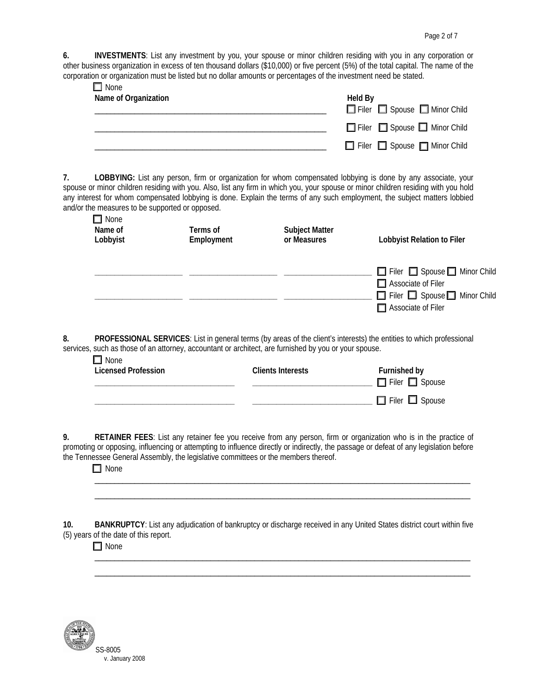**6. INVESTMENTS**: List any investment by you, your spouse or minor children residing with you in any corporation or other business organization in excess of ten thousand dollars (\$10,000) or five percent (5%) of the total capital. The name of the corporation or organization must be listed but no dollar amounts or percentages of the investment need be stated.

| $\Box$ None<br>Name of Organization | <b>Held By</b>                                |
|-------------------------------------|-----------------------------------------------|
|                                     | Filer Spouse Minor Child                      |
|                                     | $\Box$ Filer $\Box$ Spouse $\Box$ Minor Child |
|                                     | Filer Spouse <b>Ninor Child</b>               |

**7. LOBBYING:** List any person, firm or organization for whom compensated lobbying is done by any associate, your spouse or minor children residing with you. Also, list any firm in which you, your spouse or minor children residing with you hold any interest for whom compensated lobbying is done. Explain the terms of any such employment, the subject matters lobbied and/or the measures to be supported or opposed.  $\Box$ None

| <b>LI</b> INVITE<br>Name of<br>Lobbyist | Terms of<br>Employment | <b>Subject Matter</b><br>or Measures | Lobbyist Relation to Filer                                                                                                                               |
|-----------------------------------------|------------------------|--------------------------------------|----------------------------------------------------------------------------------------------------------------------------------------------------------|
|                                         |                        |                                      | $\Box$ Filer $\Box$ Spouse $\Box$ Minor Child<br>$\Box$ Associate of Filer<br>$\Box$ Filer $\Box$ Spouse $\Box$ Minor Child<br>$\Box$ Associate of Filer |

**8. PROFESSIONAL SERVICES**: List in general terms (by areas of the client's interests) the entities to which professional services, such as those of an attorney, accountant or architect, are furnished by you or your spouse.  $\blacksquare$ 

| l⊥I None<br>Licensed Profession | <b>Clients Interests</b> | Furnished by<br>$\Box$ Filer $\Box$ Spouse |
|---------------------------------|--------------------------|--------------------------------------------|
|                                 |                          | $\Box$ Filer $\Box$ Spouse                 |

**9. RETAINER FEES**: List any retainer fee you receive from any person, firm or organization who is in the practice of promoting or opposing, influencing or attempting to influence directly or indirectly, the passage or defeat of any legislation before the Tennessee General Assembly, the legislative committees or the members thereof.

 $\overline{\phantom{a}}$  ,  $\overline{\phantom{a}}$  ,  $\overline{\phantom{a}}$  ,  $\overline{\phantom{a}}$  ,  $\overline{\phantom{a}}$  ,  $\overline{\phantom{a}}$  ,  $\overline{\phantom{a}}$  ,  $\overline{\phantom{a}}$  ,  $\overline{\phantom{a}}$  ,  $\overline{\phantom{a}}$  ,  $\overline{\phantom{a}}$  ,  $\overline{\phantom{a}}$  ,  $\overline{\phantom{a}}$  ,  $\overline{\phantom{a}}$  ,  $\overline{\phantom{a}}$  ,  $\overline{\phantom{a}}$  $\overline{\phantom{a}}$  ,  $\overline{\phantom{a}}$  ,  $\overline{\phantom{a}}$  ,  $\overline{\phantom{a}}$  ,  $\overline{\phantom{a}}$  ,  $\overline{\phantom{a}}$  ,  $\overline{\phantom{a}}$  ,  $\overline{\phantom{a}}$  ,  $\overline{\phantom{a}}$  ,  $\overline{\phantom{a}}$  ,  $\overline{\phantom{a}}$  ,  $\overline{\phantom{a}}$  ,  $\overline{\phantom{a}}$  ,  $\overline{\phantom{a}}$  ,  $\overline{\phantom{a}}$  ,  $\overline{\phantom{a}}$ 

 $\Box$  None

**10. BANKRUPTCY**: List any adjudication of bankruptcy or discharge received in any United States district court within five (5) years of the date of this report.

 $\mathcal{L}_\text{max} = \mathcal{L}_\text{max} = \mathcal{L}_\text{max} = \mathcal{L}_\text{max} = \mathcal{L}_\text{max} = \mathcal{L}_\text{max} = \mathcal{L}_\text{max} = \mathcal{L}_\text{max} = \mathcal{L}_\text{max} = \mathcal{L}_\text{max} = \mathcal{L}_\text{max} = \mathcal{L}_\text{max} = \mathcal{L}_\text{max} = \mathcal{L}_\text{max} = \mathcal{L}_\text{max} = \mathcal{L}_\text{max} = \mathcal{L}_\text{max} = \mathcal{L}_\text{max} = \mathcal{$  $\mathcal{L}_\text{max}$  , and the contribution of the contribution of the contribution of the contribution of the contribution of the contribution of the contribution of the contribution of the contribution of the contribution of t

□ None

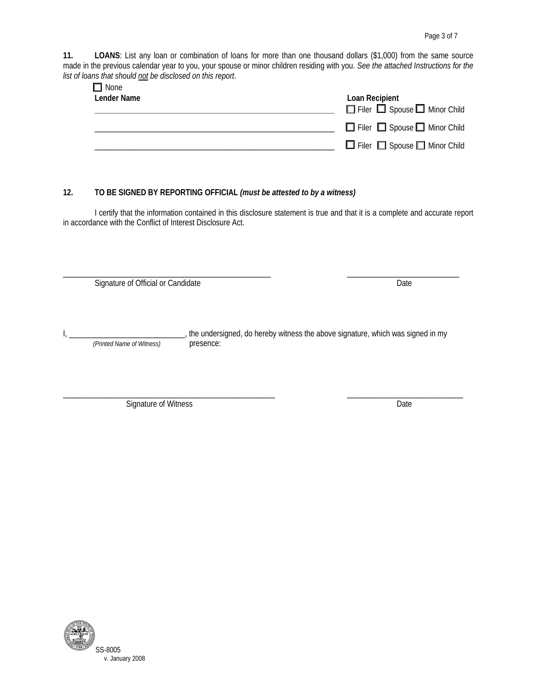**11. LOANS**: List any loan or combination of loans for more than one thousand dollars (\$1,000) from the same source made in the previous calendar year to you, your spouse or minor children residing with you. *See the attached Instructions for the list of loans that should not be disclosed on this report*.

| $\Box$ None |                                               |
|-------------|-----------------------------------------------|
| Lender Name | Loan Recipient                                |
|             | Filer Spouse I Minor Child                    |
|             | $\Box$ Filer $\Box$ Spouse $\Box$ Minor Child |
|             | $\Box$ Filer $\Box$ Spouse $\Box$ Minor Child |

### **12. TO BE SIGNED BY REPORTING OFFICIAL** *(must be attested to by a witness)*

I certify that the information contained in this disclosure statement is true and that it is a complete and accurate report in accordance with the Conflict of Interest Disclosure Act.

\_\_\_\_\_\_\_\_\_\_\_\_\_\_\_\_\_\_\_\_\_\_\_\_\_\_\_\_\_\_\_\_\_\_\_\_\_\_\_\_\_\_\_\_\_\_\_\_\_\_\_\_ \_\_\_\_\_\_\_\_\_\_\_\_\_\_\_\_\_\_\_\_\_\_\_\_\_\_\_\_ Signature of Official or Candidate Date Date Date

I, \_\_\_\_\_\_\_\_\_\_\_\_\_\_\_\_\_\_\_\_\_\_\_\_\_\_\_\_\_\_\_, the undersigned, do hereby witness the above signature, which was signed in my presence: *(Printed Name of Witness)* 

\_\_\_\_\_\_\_\_\_\_\_\_\_\_\_\_\_\_\_\_\_\_\_\_\_\_\_\_\_\_\_\_\_\_\_\_\_\_\_\_\_\_\_\_\_\_\_\_\_\_\_\_\_ \_\_\_\_\_\_\_\_\_\_\_\_\_\_\_\_\_\_\_\_\_\_\_\_\_\_\_\_\_

Signature of Witness Date

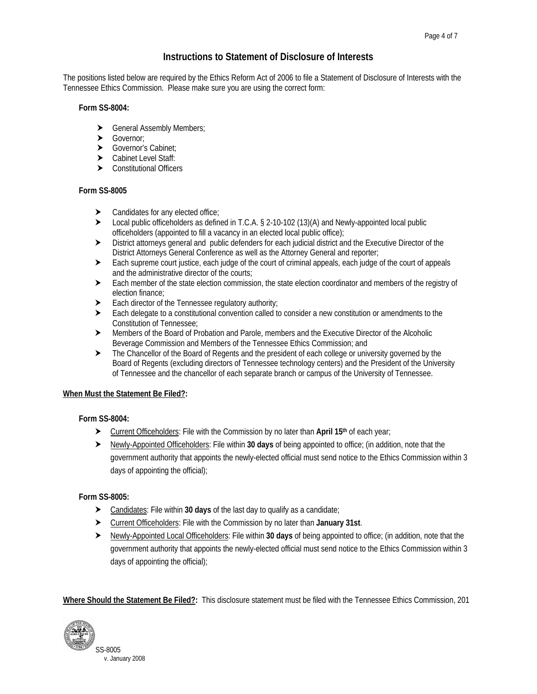## **Instructions to Statement of Disclosure of Interests**

The positions listed below are required by the Ethics Reform Act of 2006 to file a Statement of Disclosure of Interests with the Tennessee Ethics Commission. Please make sure you are using the correct form:

#### **Form SS-8004:**

- $\blacktriangleright$  General Assembly Members;
- $\blacktriangleright$  Governor;
- > Governor's Cabinet;
- > Cabinet Level Staff:
- $\blacktriangleright$  Constitutional Officers

#### **Form SS-8005**

- $\blacktriangleright$  Candidates for any elected office;
- $\triangleright$  Local public officeholders as defined in T.C.A. § 2-10-102 (13)(A) and Newly-appointed local public officeholders (appointed to fill a vacancy in an elected local public office);
- $\blacktriangleright$  District attorneys general and public defenders for each judicial district and the Executive Director of the District Attorneys General Conference as well as the Attorney General and reporter;
- ighthare search supreme court justice, each judge of the court of criminal appeals, each judge of the court of appeals and the administrative director of the courts;
- $\blacktriangleright$  Each member of the state election commission, the state election coordinator and members of the registry of election finance;
- $\blacktriangleright$  Each director of the Tennessee regulatory authority;
- $\blacktriangleright$  Each delegate to a constitutional convention called to consider a new constitution or amendments to the Constitution of Tennessee;
- > Members of the Board of Probation and Parole, members and the Executive Director of the Alcoholic Beverage Commission and Members of the Tennessee Ethics Commission; and
- $\blacktriangleright$  The Chancellor of the Board of Regents and the president of each college or university governed by the Board of Regents (excluding directors of Tennessee technology centers) and the President of the University of Tennessee and the chancellor of each separate branch or campus of the University of Tennessee.

### **When Must the Statement Be Filed?:**

### **Form SS-8004:**

- h Current Officeholders: File with the Commission by no later than **April 15th** of each year;
- **h** Newly-Appointed Officeholders: File within 30 days of being appointed to office; (in addition, note that the government authority that appoints the newly-elected official must send notice to the Ethics Commission within 3 days of appointing the official);

### **Form SS-8005:**

- h Candidates: File within **30 days** of the last day to qualify as a candidate;
- h Current Officeholders: File with the Commission by no later than **January 31st**.
- **EXECT Newly-Appointed Local Officeholders: File within 30 days of being appointed to office; (in addition, note that the** government authority that appoints the newly-elected official must send notice to the Ethics Commission within 3 days of appointing the official);

**Where Should the Statement Be Filed?:** This disclosure statement must be filed with the Tennessee Ethics Commission, 201

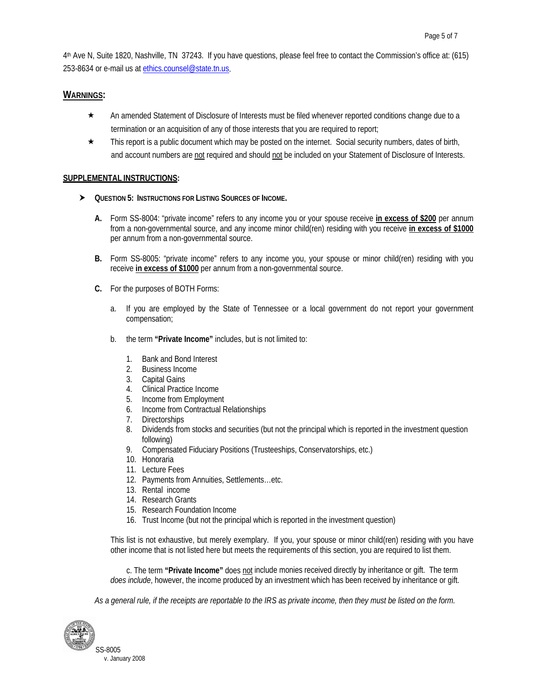4th Ave N, Suite 1820, Nashville, TN 37243. If you have questions, please feel free to contact the Commission's office at: (615) 253-8634 or e-mail us at [ethics.counsel@state.tn.us](mailto:ethics.counsel@state.tn.us).

### **WARNINGS:**

- \* An amended Statement of Disclosure of Interests must be filed whenever reported conditions change due to a termination or an acquisition of any of those interests that you are required to report;
- $\star$  This report is a public document which may be posted on the internet. Social security numbers, dates of birth, and account numbers are not required and should not be included on your Statement of Disclosure of Interests.

### **SUPPLEMENTAL INSTRUCTIONS:**

- $\triangleright$  Question 5: Instructions for Listing Sources of Income.
	- **A.** Form SS-8004: "private income" refers to any income you or your spouse receive **in excess of \$200** per annum from a non-governmental source, and any income minor child(ren) residing with you receive **in excess of \$1000** per annum from a non-governmental source.
	- **B.** Form SS-8005: "private income" refers to any income you, your spouse or minor child(ren) residing with you receive **in excess of \$1000** per annum from a non-governmental source.
	- **C.** For the purposes of BOTH Forms:
		- a. If you are employed by the State of Tennessee or a local government do not report your government compensation;
		- b. the term **"Private Income"** includes, but is not limited to:
			- 1. Bank and Bond Interest
			- 2. Business Income
			- 3. Capital Gains
			- 4. Clinical Practice Income
			- 5. Income from Employment
			- 6. Income from Contractual Relationships
			- 7. Directorships
			- 8. Dividends from stocks and securities (but not the principal which is reported in the investment question following)
			- 9. Compensated Fiduciary Positions (Trusteeships, Conservatorships, etc.)
			- 10. Honoraria
			- 11. Lecture Fees
			- 12. Payments from Annuities, Settlements…etc.
			- 13. Rental income
			- 14. Research Grants
			- 15. Research Foundation Income
			- 16. Trust Income (but not the principal which is reported in the investment question)

This list is not exhaustive, but merely exemplary. If you, your spouse or minor child(ren) residing with you have other income that is not listed here but meets the requirements of this section, you are required to list them.

 c. The term **"Private Income"** does not include monies received directly by inheritance or gift. The term *does include*, however, the income produced by an investment which has been received by inheritance or gift.

*As a general rule, if the receipts are reportable to the IRS as private income, then they must be listed on the form.* 

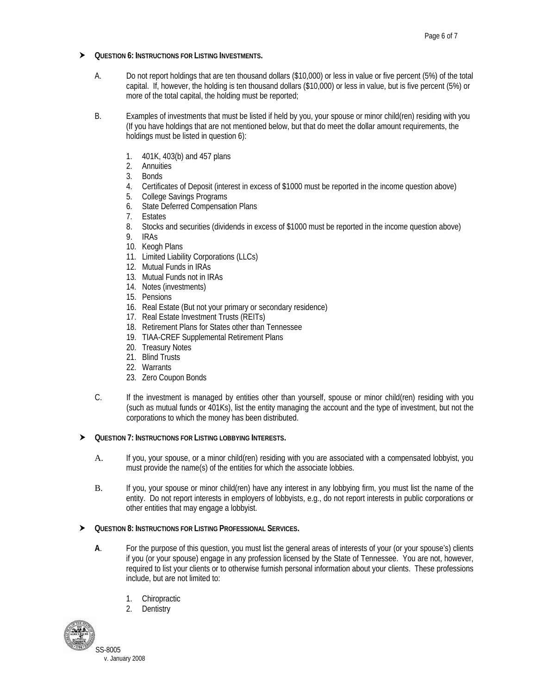- $\triangleright$  QUESTION 6: INSTRUCTIONS FOR LISTING INVESTMENTS.
	- A. Do not report holdings that are ten thousand dollars (\$10,000) or less in value or five percent (5%) of the total capital. If, however, the holding is ten thousand dollars (\$10,000) or less in value, but is five percent (5%) or more of the total capital, the holding must be reported;
	- B. Examples of investments that must be listed if held by you, your spouse or minor child(ren) residing with you (If you have holdings that are not mentioned below, but that do meet the dollar amount requirements, the holdings must be listed in question 6):
		- 1. 401K, 403(b) and 457 plans
		- 2. Annuities
		- 3. Bonds
		- 4. Certificates of Deposit (interest in excess of \$1000 must be reported in the income question above)
		- 5. College Savings Programs
		- 6. State Deferred Compensation Plans<br>7. Estates
		- **Estates**
		- 8. Stocks and securities (dividends in excess of \$1000 must be reported in the income question above)
		- 9. IRAs
		- 10. Keogh Plans
		- 11. Limited Liability Corporations (LLCs)
		- 12. Mutual Funds in IRAs
		- 13. Mutual Funds not in IRAs
		- 14. Notes (investments)
		- 15. Pensions
		- 16. Real Estate (But not your primary or secondary residence)
		- 17. Real Estate Investment Trusts (REITs)
		- 18. Retirement Plans for States other than Tennessee
		- 19. TIAA-CREF Supplemental Retirement Plans
		- 20. Treasury Notes
		- 21. Blind Trusts
		- 22. Warrants
		- 23. Zero Coupon Bonds
	- C. If the investment is managed by entities other than yourself, spouse or minor child(ren) residing with you (such as mutual funds or 401Ks), list the entity managing the account and the type of investment, but not the corporations to which the money has been distributed.

### h **QUESTION 7: INSTRUCTIONS FOR LISTING LOBBYING INTERESTS.**

- A. If you, your spouse, or a minor child(ren) residing with you are associated with a compensated lobbyist, you must provide the name(s) of the entities for which the associate lobbies.
- B. If you, your spouse or minor child(ren) have any interest in any lobbying firm, you must list the name of the entity. Do not report interests in employers of lobbyists, e.g., do not report interests in public corporations or other entities that may engage a lobbyist.

#### $\triangleright$  Question 8: Instructions for Listing Professional Services.

- **A**. For the purpose of this question, you must list the general areas of interests of your (or your spouse's) clients if you (or your spouse) engage in any profession licensed by the State of Tennessee. You are not, however, required to list your clients or to otherwise furnish personal information about your clients. These professions include, but are not limited to:
	- 1. Chiropractic
	- 2. Dentistry